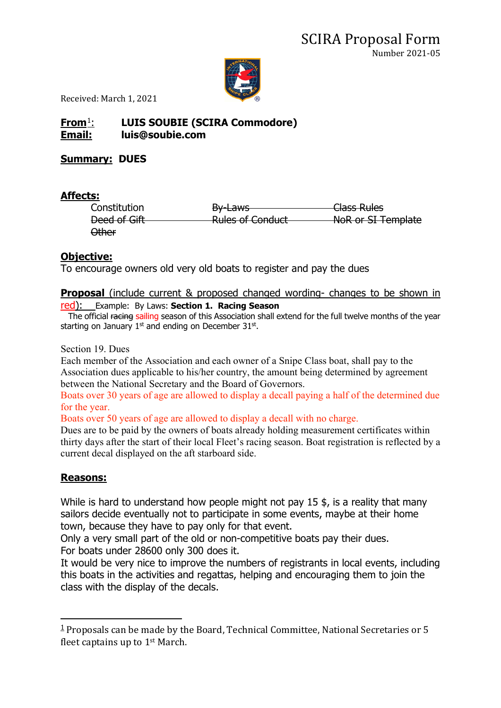

Received: March 1, 2021

## **From**[1](#page-0-0): **LUIS SOUBIE (SCIRA Commodore) Email: luis@soubie.com**

#### **Summary: DUES**

#### **Affects:**

| Constitution | $P_{V}$ $\sim$<br><del>Dy Laws</del>                   | Class Rules        |
|--------------|--------------------------------------------------------|--------------------|
| Deed of Gift | <b>Dulge of Conduct</b><br><del>Kuics or conduct</del> | NoR or SI Template |
| Other        |                                                        |                    |

#### **Objective:**

To encourage owners old very old boats to register and pay the dues

# **Proposal** (include current & proposed changed wording- changes to be shown in

## red): Example: By Laws: **Section 1. Racing Season**

The official racing sailing season of this Association shall extend for the full twelve months of the year starting on January  $1<sup>st</sup>$  and ending on December 31 $<sup>st</sup>$ .</sup>

Section 19. Dues

Each member of the Association and each owner of a Snipe Class boat, shall pay to the Association dues applicable to his/her country, the amount being determined by agreement between the National Secretary and the Board of Governors.

Boats over 30 years of age are allowed to display a decall paying a half of the determined due for the year.

Boats over 50 years of age are allowed to display a decall with no charge.

Dues are to be paid by the owners of boats already holding measurement certificates within thirty days after the start of their local Fleet's racing season. Boat registration is reflected by a current decal displayed on the aft starboard side.

### **Reasons:**

While is hard to understand how people might not pay 15 \$, is a reality that many sailors decide eventually not to participate in some events, maybe at their home town, because they have to pay only for that event.

Only a very small part of the old or non-competitive boats pay their dues. For boats under 28600 only 300 does it.

It would be very nice to improve the numbers of registrants in local events, including this boats in the activities and regattas, helping and encouraging them to join the class with the display of the decals.

<span id="page-0-0"></span> $1$  Proposals can be made by the Board, Technical Committee, National Secretaries or 5 fleet captains up to 1st March.